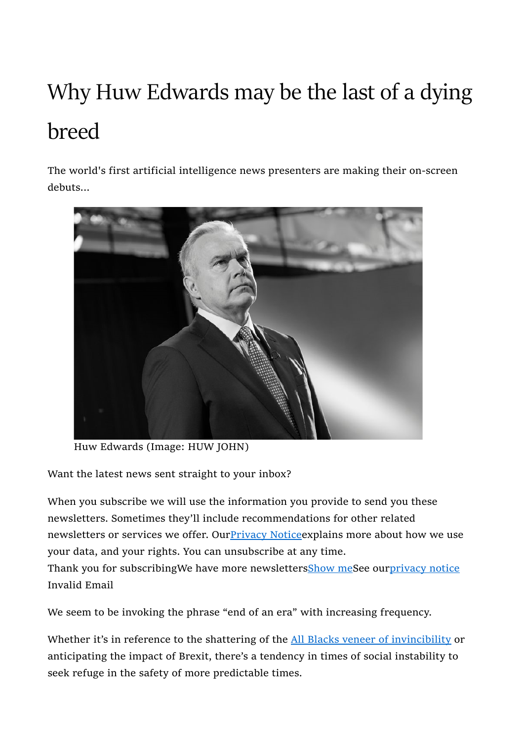## Why Huw Edwards may be the last of a dying breed

The world's first artificial intelligence news presenters are making their on-screen debuts...



Huw Edwards (Image: HUW JOHN)

Want the latest news sent straight to your inbox?

When you subscribe we will use the information you provide to send you these newsletters. Sometimes they'll include recommendations for other related newsletters or services we offer. Our **Privacy Notice** explains more about how we use your data, and your rights. You can unsubscribe at any time. Thank you for subscribingWe have more newslettersShow meSee ourprivacy notice Invalid Email

We seem to be invoking the phrase "end of an era" with increasing frequency.

Whether it's in reference to the shattering of the All Blacks veneer of invincibility or anticipating the impact of Brexit, there's a tendency in times of social instability to seek refuge in the safety of more predictable times.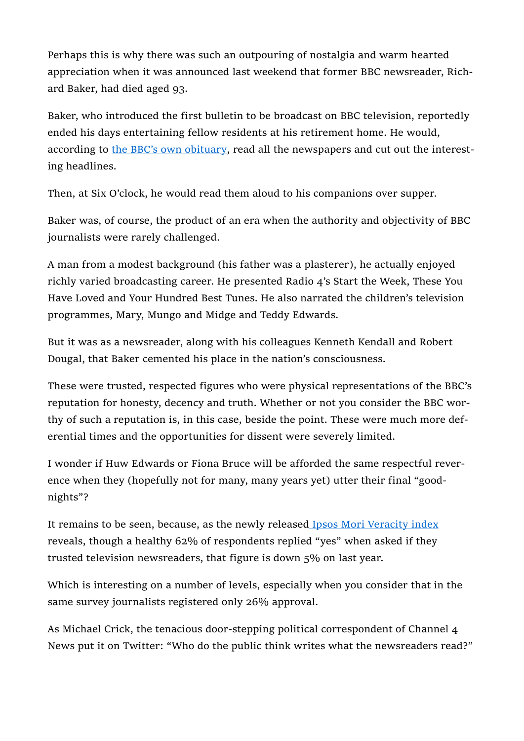Perhaps this is why there was such an outpouring of nostalgia and warm hearted appreciation when it was announced last weekend that former BBC newsreader, Richard Baker, had died aged 93.

Baker, who introduced the first bulletin to be broadcast on BBC television, reportedly ended his days entertaining fellow residents at his retirement home. He would, according to the BBC's own obituary, read all the newspapers and cut out the interesting headlines.

Then, at Six O'clock, he would read them aloud to his companions over supper.

Baker was, of course, the product of an era when the authority and objectivity of BBC journalists were rarely challenged.

A man from a modest background (his father was a plasterer), he actually enjoyed richly varied broadcasting career. He presented Radio 4's Start the Week, These You Have Loved and Your Hundred Best Tunes. He also narrated the children's television programmes, Mary, Mungo and Midge and Teddy Edwards.

But it was as a newsreader, along with his colleagues Kenneth Kendall and Robert Dougal, that Baker cemented his place in the nation's consciousness.

These were trusted, respected figures who were physical representations of the BBC's reputation for honesty, decency and truth. Whether or not you consider the BBC worthy of such a reputation is, in this case, beside the point. These were much more deferential times and the opportunities for dissent were severely limited.

I wonder if Huw Edwards or Fiona Bruce will be afforded the same respectful reverence when they (hopefully not for many, many years yet) utter their final "goodnights"?

It remains to be seen, because, as the newly released Ipsos Mori Veracity index reveals, though a healthy 62% of respondents replied "yes" when asked if they trusted television newsreaders, that figure is down 5% on last year.

Which is interesting on a number of levels, especially when you consider that in the same survey journalists registered only 26% approval.

As Michael Crick, the tenacious door-stepping political correspondent of Channel 4 News put it on Twitter: "Who do the public think writes what the newsreaders read?"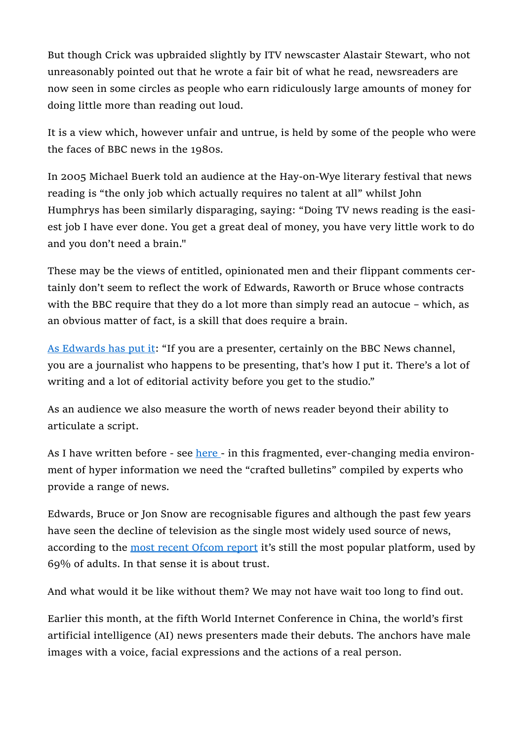But though Crick was upbraided slightly by ITV newscaster Alastair Stewart, who not unreasonably pointed out that he wrote a fair bit of what he read, newsreaders are now seen in some circles as people who earn ridiculously large amounts of money for doing little more than reading out loud.

It is a view which, however unfair and untrue, is held by some of the people who were the faces of BBC news in the 1980s.

In 2005 Michael Buerk told an audience at the Hay-on-Wye literary festival that news reading is "the only job which actually requires no talent at all" whilst John Humphrys has been similarly disparaging, saying: "Doing TV news reading is the easiest job I have ever done. You get a great deal of money, you have very little work to do and you don't need a brain."

These may be the views of entitled, opinionated men and their flippant comments certainly don't seem to reflect the work of Edwards, Raworth or Bruce whose contracts with the BBC require that they do a lot more than simply read an autocue – which, as an obvious matter of fact, is a skill that does require a brain.

As Edwards has put it: "If you are a presenter, certainly on the BBC News channel, you are a journalist who happens to be presenting, that's how I put it. There's a lot of writing and a lot of editorial activity before you get to the studio."

As an audience we also measure the worth of news reader beyond their ability to articulate a script.

As I have written before - see here - in this fragmented, ever-changing media environment of hyper information we need the "crafted bulletins" compiled by experts who provide a range of news.

Edwards, Bruce or Jon Snow are recognisable figures and although the past few years have seen the decline of television as the single most widely used source of news, according to the most recent Ofcom report it's still the most popular platform, used by 69% of adults. In that sense it is about trust.

And what would it be like without them? We may not have wait too long to find out.

Earlier this month, at the fifth World Internet Conference in China, the world's first artificial intelligence (AI) news presenters made their debuts. The anchors have male images with a voice, facial expressions and the actions of a real person.